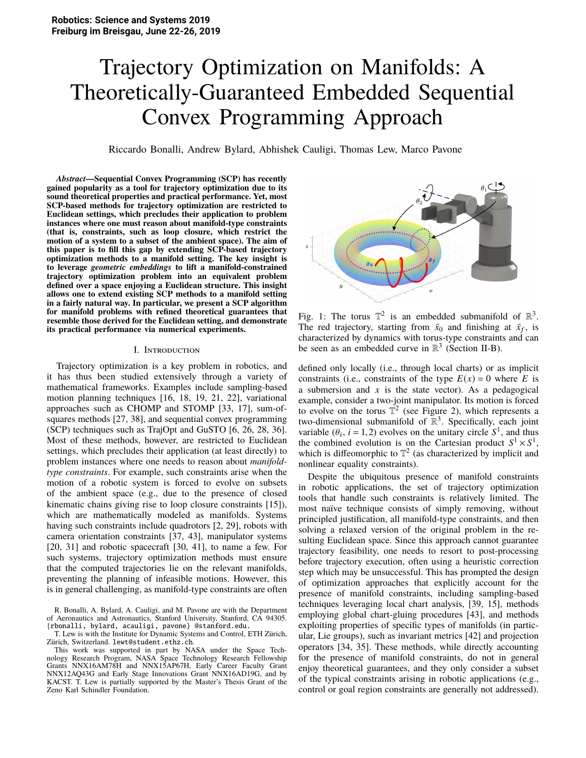# Trajectory Optimization on Manifolds: A Theoretically-Guaranteed Embedded Sequential Convex Programming Approach

Riccardo Bonalli, Andrew Bylard, Abhishek Cauligi, Thomas Lew, Marco Pavone

*Abstract***—Sequential Convex Programming (SCP) has recently gained popularity as a tool for trajectory optimization due to its sound theoretical properties and practical performance. Yet, most SCP-based methods for trajectory optimization are restricted to Euclidean settings, which precludes their application to problem instances where one must reason about manifold-type constraints (that is, constraints, such as loop closure, which restrict the motion of a system to a subset of the ambient space). The aim of this paper is to fill this gap by extending SCP-based trajectory optimization methods to a manifold setting. The key insight is to leverage** *geometric embeddings* **to lift a manifold-constrained trajectory optimization problem into an equivalent problem defined over a space enjoying a Euclidean structure. This insight allows one to extend existing SCP methods to a manifold setting in a fairly natural way. In particular, we present a SCP algorithm for manifold problems with refined theoretical guarantees that resemble those derived for the Euclidean setting, and demonstrate its practical performance via numerical experiments.**

#### I. Introduction

Trajectory optimization is a key problem in robotics, and it has thus been studied extensively through a variety of mathematical frameworks. Examples include sampling-based motion planning techniques [16, 18, 19, 21, 22], variational approaches such as CHOMP and STOMP [33, 17], sum-ofsquares methods [27, 38], and sequential convex programming (SCP) techniques such as TrajOpt and GuSTO [6, 26, 28, 36]. Most of these methods, however, are restricted to Euclidean settings, which precludes their application (at least directly) to problem instances where one needs to reason about *manifoldtype constraints*. For example, such constraints arise when the motion of a robotic system is forced to evolve on subsets of the ambient space (e.g., due to the presence of closed kinematic chains giving rise to loop closure constraints [15]), which are mathematically modeled as manifolds. Systems having such constraints include quadrotors [2, 29], robots with camera orientation constraints [37, 43], manipulator systems [20, 31] and robotic spacecraft [30, 41], to name a few. For such systems, trajectory optimization methods must ensure that the computed trajectories lie on the relevant manifolds, preventing the planning of infeasible motions. However, this is in general challenging, as manifold-type constraints are often

T. Lew is with the Institute for Dynamic Systems and Control, ETH Zürich, Zürich, Switzerland. lewt@student.ethz.ch.





Fig. 1: The torus  $\mathbb{T}^2$  is an embedded submanifold of  $\mathbb{R}^3$ . The red trajectory, starting from  $\bar{x}_0$  and finishing at  $\bar{x}_f$ , is characterized by dynamics with torus-type constraints and can be seen as an embedded curve in  $\mathbb{R}^3$  (Section II-B).

defined only locally (i.e., through local charts) or as implicit constraints (i.e., constraints of the type  $E(x) = 0$  where *E* is a submersion and  $x$  is the state vector). As a pedagogical example, consider a two-joint manipulator. Its motion is forced to evolve on the torus  $\mathbb{T}^2$  (see Figure 2), which represents a two-dimensional submanifold of  $\mathbb{R}^3$ . Specifically, each joint variable  $(\theta_i, i = 1, 2)$  evolves on the unitary circle  $S^1$ , and thus the combined evolution is on the Cartesian product  $S^1 \times S^1$ the combined evolution is on the Cartesian product  $S^1 \times S^1$ , which is diffeomorphic to  $\mathbb{T}^2$  (as characterized by implicit and nonlinear equality constraints).

Despite the ubiquitous presence of manifold constraints in robotic applications, the set of trajectory optimization tools that handle such constraints is relatively limited. The most naïve technique consists of simply removing, without principled justification, all manifold-type constraints, and then solving a relaxed version of the original problem in the resulting Euclidean space. Since this approach cannot guarantee trajectory feasibility, one needs to resort to post-processing before trajectory execution, often using a heuristic correction step which may be unsuccessful. This has prompted the design of optimization approaches that explicitly account for the presence of manifold constraints, including sampling-based techniques leveraging local chart analysis, [39, 15], methods employing global chart-gluing procedures [43], and methods exploiting properties of specific types of manifolds (in particular, Lie groups), such as invariant metrics [42] and projection operators [34, 35]. These methods, while directly accounting for the presence of manifold constraints, do not in general enjoy theoretical guarantees, and they only consider a subset of the typical constraints arising in robotic applications (e.g., control or goal region constraints are generally not addressed).

R. Bonalli, A. Bylard, A. Cauligi, and M. Pavone are with the Department of Aeronautics and Astronautics, Stanford University, Stanford, CA 94305. {rbonalli, bylard, acauligi, pavone} @stanford.edu.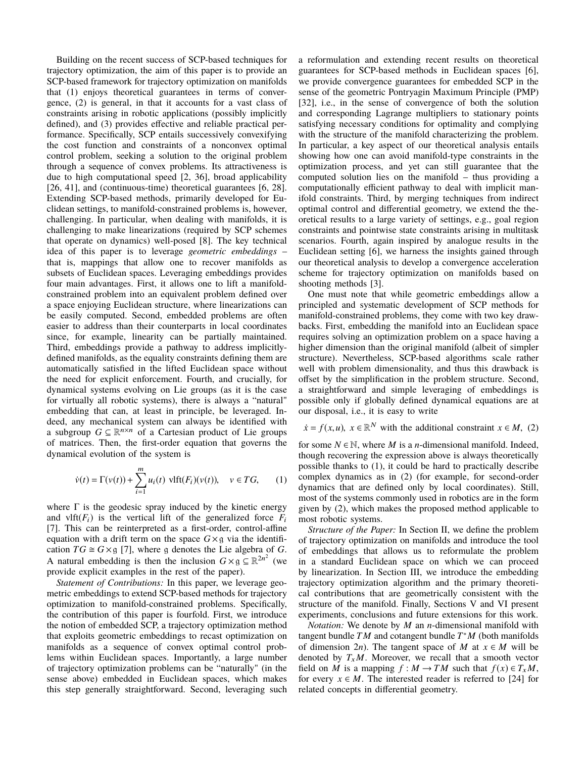Building on the recent success of SCP-based techniques for trajectory optimization, the aim of this paper is to provide an SCP-based framework for trajectory optimization on manifolds that (1) enjoys theoretical guarantees in terms of convergence, (2) is general, in that it accounts for a vast class of constraints arising in robotic applications (possibly implicitly defined), and (3) provides effective and reliable practical performance. Specifically, SCP entails successively convexifying the cost function and constraints of a nonconvex optimal control problem, seeking a solution to the original problem through a sequence of convex problems. Its attractiveness is due to high computational speed [2, 36], broad applicability [26, 41], and (continuous-time) theoretical guarantees [6, 28]. Extending SCP-based methods, primarily developed for Euclidean settings, to manifold-constrained problems is, however, challenging. In particular, when dealing with manifolds, it is challenging to make linearizations (required by SCP schemes that operate on dynamics) well-posed [8]. The key technical idea of this paper is to leverage geometric embeddings that is, mappings that allow one to recover manifolds as subsets of Euclidean spaces. Leveraging embeddings provides four main advantages. First, it allows one to lift a manifoldconstrained problem into an equivalent problem defined over a space enjoying Euclidean structure, where linearizations can be easily computed. Second, embedded problems are often easier to address than their counterparts in local coordinates since, for example, linearity can be partially maintained. Third, embeddings provide a pathway to address implicitlydefined manifolds, as the equality constraints defining them are automatically satisfied in the lifted Euclidean space without the need for explicit enforcement. Fourth, and crucially, for dynamical systems evolving on Lie groups (as it is the case for virtually all robotic systems), there is always a "natural" embedding that can, at least in principle, be leveraged. Indeed, any mechanical system can always be identified with a subgroup  $G \subseteq \mathbb{R}^{n \times n}$  of a Cartesian product of Lie groups of matrices. Then, the first-order equation that governs the dynamical evolution of the system is

$$
\dot{v}(t) = \Gamma(v(t)) + \sum_{i=1}^{m} u_i(t) \text{ vlft}(F_i)(v(t)), \quad v \in TG,
$$
 (1)

where  $\Gamma$  is the geodesic spray induced by the kinetic energy and  $\text{vlft}(F_i)$  is the vertical lift of the generalized force  $F_i$ [7]. This can be reinterpreted as a first-order, control-affine equation with a drift term on the space  $G \times g$  via the identification  $TG \cong G \times g$  [7], where g denotes the Lie algebra of G. A natural embedding is then the inclusion  $G \times g \subseteq \mathbb{R}^{2n^2}$  (we provide explicit examples in the rest of the paper).

Statement of Contributions: In this paper, we leverage geometric embeddings to extend SCP-based methods for trajectory optimization to manifold-constrained problems. Specifically, the contribution of this paper is fourfold. First, we introduce the notion of embedded SCP, a trajectory optimization method that exploits geometric embeddings to recast optimization on manifolds as a sequence of convex optimal control problems within Euclidean spaces. Importantly, a large number of trajectory optimization problems can be "naturally" (in the sense above) embedded in Euclidean spaces, which makes this step generally straightforward. Second, leveraging such

a reformulation and extending recent results on theoretical guarantees for SCP-based methods in Euclidean spaces [6]. we provide convergence guarantees for embedded SCP in the sense of the geometric Pontryagin Maximum Principle (PMP) [32], i.e., in the sense of convergence of both the solution and corresponding Lagrange multipliers to stationary points satisfying necessary conditions for optimality and complying with the structure of the manifold characterizing the problem. In particular, a key aspect of our theoretical analysis entails showing how one can avoid manifold-type constraints in the optimization process, and yet can still guarantee that the computed solution lies on the manifold  $-$  thus providing a computationally efficient pathway to deal with implicit manifold constraints. Third, by merging techniques from indirect optimal control and differential geometry, we extend the theoretical results to a large variety of settings, e.g., goal region constraints and pointwise state constraints arising in multitask scenarios. Fourth, again inspired by analogue results in the Euclidean setting [6], we harness the insights gained through our theoretical analysis to develop a convergence acceleration scheme for trajectory optimization on manifolds based on shooting methods [3].

One must note that while geometric embeddings allow a principled and systematic development of SCP methods for manifold-constrained problems, they come with two key drawbacks. First, embedding the manifold into an Euclidean space requires solving an optimization problem on a space having a higher dimension than the original manifold (albeit of simpler structure). Nevertheless, SCP-based algorithms scale rather well with problem dimensionality, and thus this drawback is offset by the simplification in the problem structure. Second, a straightforward and simple leveraging of embeddings is possible only if globally defined dynamical equations are at our disposal, i.e., it is easy to write

 $\dot{x} = f(x, u), x \in \mathbb{R}^N$  with the additional constraint  $x \in M$ . (2)

for some  $N \in \mathbb{N}$ , where M is a *n*-dimensional manifold. Indeed, though recovering the expression above is always theoretically possible thanks to  $(1)$ , it could be hard to practically describe complex dynamics as in (2) (for example, for second-order dynamics that are defined only by local coordinates). Still, most of the systems commonly used in robotics are in the form given by (2), which makes the proposed method applicable to most robotic systems.

Structure of the Paper: In Section II, we define the problem of trajectory optimization on manifolds and introduce the tool of embeddings that allows us to reformulate the problem in a standard Euclidean space on which we can proceed by linearization. In Section III, we introduce the embedding trajectory optimization algorithm and the primary theoretical contributions that are geometrically consistent with the structure of the manifold. Finally, Sections V and VI present experiments, conclusions and future extensions for this work.

*Notation:* We denote by  $M$  an *n*-dimensional manifold with tangent bundle  $TM$  and cotangent bundle  $T^*M$  (both manifolds of dimension 2*n*). The tangent space of *M* at  $x \in M$  will be denoted by  $T_xM$ . Moreover, we recall that a smooth vector field on M is a mapping  $f : M \to TM$  such that  $f(x) \in T_xM$ , for every  $x \in M$ . The interested reader is referred to [24] for related concepts in differential geometry.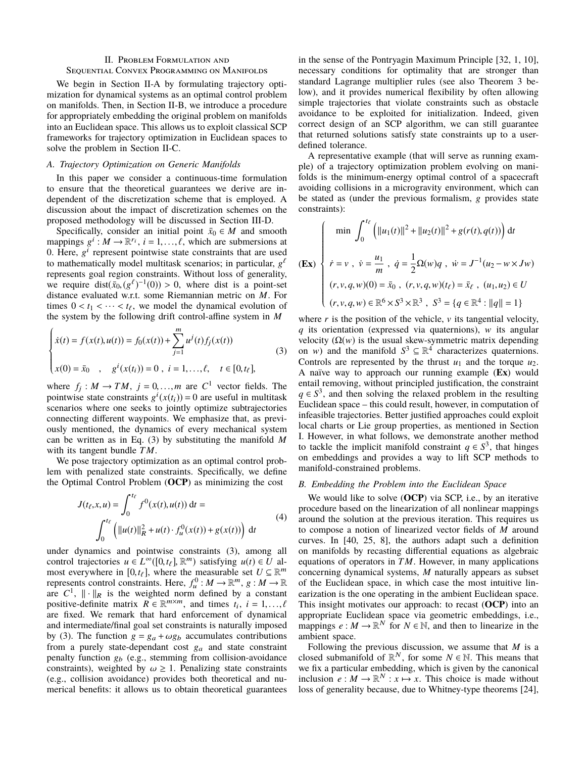# **II. PROBLEM FORMULATION AND**

## **SEQUENTIAL CONVEX PROGRAMMING ON MANIFOLDS**

We begin in Section II-A by formulating trajectory optimization for dynamical systems as an optimal control problem on manifolds. Then, in Section II-B, we introduce a procedure for appropriately embedding the original problem on manifolds into an Euclidean space. This allows us to exploit classical SCP frameworks for trajectory optimization in Euclidean spaces to solve the problem in Section II-C.

#### A. Trajectory Optimization on Generic Manifolds

In this paper we consider a continuous-time formulation to ensure that the theoretical guarantees we derive are independent of the discretization scheme that is employed. A discussion about the impact of discretization schemes on the proposed methodology will be discussed in Section III-D.

Specifically, consider an initial point  $\bar{x}_0 \in M$  and smooth mappings  $g^i$ :  $M \to \mathbb{R}^{r_i}$ ,  $i = 1, ..., \ell$ , which are submersions at 0. Here,  $g^{i}$  represent pointwise state constraints that are used to mathematically model multitask scenarios; in particular,  $g^{\ell}$ represents goal region constraints. Without loss of generality, we require  $dist(\bar{x}_0, (g^{\ell})^{-1}(0)) > 0$ , where dist is a point-set distance evaluated w.r.t. some Riemannian metric on  $M$ . For times  $0 < t_1 < \cdots < t_\ell$ , we model the dynamical evolution of the system by the following drift control-affine system in  $M$ 

$$
\begin{cases}\n\dot{x}(t) = f(x(t), u(t)) = f_0(x(t)) + \sum_{j=1}^{m} u^j(t) f_j(x(t)) \\
x(0) = \bar{x}_0, \quad g^i(x(t_i)) = 0, \quad i = 1, \dots, \ell, \quad t \in [0, t_{\ell}],\n\end{cases}
$$
\n(3)

where  $f_j : M \to TM$ ,  $j = 0,...,m$  are  $C^1$  vector fields. The pointwise state constraints  $g^{i}(x(t_i)) = 0$  are useful in multitask scenarios where one seeks to jointly optimize subtrajectories connecting different waypoints. We emphasize that, as previously mentioned, the dynamics of every mechanical system can be written as in Eq.  $(3)$  by substituting the manifold M with its tangent bundle  $TM$ .

We pose trajectory optimization as an optimal control problem with penalized state constraints. Specifically, we define the Optimal Control Problem (OCP) as minimizing the cost

$$
J(t_{\ell}, x, u) = \int_0^{t_{\ell}} f^0(x(t), u(t)) dt =
$$
  

$$
\int_0^{t_{\ell}} \left( ||u(t)||_R^2 + u(t) \cdot f_u^0(x(t)) + g(x(t)) \right) dt
$$
 (4)

under dynamics and pointwise constraints (3), among all control trajectories  $u \in L^{\infty}([0,t_{\ell}], \mathbb{R}^m)$  satisfying  $u(t) \in U$  almost everywhere in [0,  $t_{\ell}$ ], where the measurable set  $U \subseteq \mathbb{R}^m$ represents control constraints. Here,  $f_u^0 : M \to \mathbb{R}^m$ ,  $g : M \to \mathbb{R}$ are  $C^1$ ,  $\|\cdot\|_R$  is the weighted norm defined by a constant positive-definite matrix  $R \in \mathbb{R}^{m \times m}$ , and times  $t_i$ ,  $i = 1, ..., \ell$ are fixed. We remark that hard enforcement of dynamical and intermediate/final goal set constraints is naturally imposed by (3). The function  $g = g_a + \omega g_b$  accumulates contributions from a purely state-dependant cost  $g_a$  and state constraint penalty function  $g_b$  (e.g., stemming from collision-avoidance constraints), weighted by  $\omega \geq 1$ . Penalizing state constraints (e.g., collision avoidance) provides both theoretical and numerical benefits: it allows us to obtain theoretical guarantees in the sense of the Pontryagin Maximum Principle [32, 1, 10], necessary conditions for optimality that are stronger than standard Lagrange multiplier rules (see also Theorem 3 below), and it provides numerical flexibility by often allowing simple trajectories that violate constraints such as obstacle avoidance to be exploited for initialization. Indeed, given correct design of an SCP algorithm, we can still guarantee that returned solutions satisfy state constraints up to a userdefined tolerance.

A representative example (that will serve as running example) of a trajectory optimization problem evolving on manifolds is the minimum-energy optimal control of a spacecraft avoiding collisions in a microgravity environment, which can be stated as (under the previous formalism, g provides state constraints):

$$
\begin{cases}\n\min \int_0^{t\ell} \left( ||u_1(t)||^2 + ||u_2(t)||^2 + g(r(t), q(t)) \right) dt \\
\dot{r} = v, \quad \dot{v} = \frac{u_1}{m}, \quad \dot{q} = \frac{1}{2} \Omega(w)q, \quad \dot{w} = J^{-1}(u_2 - w \times Jw) \\
(r, v, q, w)(0) = \bar{x}_0, \quad (r, v, q, w)(t_\ell) = \bar{x}_\ell, \quad (u_1, u_2) \in U \\
(r, v, q, w) \in \mathbb{R}^6 \times S^3 \times \mathbb{R}^3, \quad S^3 = \{q \in \mathbb{R}^4 : ||q|| = 1\}\n\end{cases}
$$

where  $r$  is the position of the vehicle,  $v$  its tangential velocity,  $q$  its orientation (expressed via quaternions),  $w$  its angular velocity  $(\Omega(w))$  is the usual skew-symmetric matrix depending on w) and the manifold  $S^3 \subseteq \mathbb{R}^4$  characterizes quaternions. Controls are represented by the thrust  $u_1$  and the torque  $u_2$ . A naïve way to approach our running example (Ex) would entail removing, without principled justification, the constraint  $q \in S^3$ , and then solving the relaxed problem in the resulting Euclidean space – this could result, however, in computation of infeasible trajectories. Better justified approaches could exploit local charts or Lie group properties, as mentioned in Section I. However, in what follows, we demonstrate another method to tackle the implicit manifold constraint  $q \in S^3$ , that hinges on embeddings and provides a way to lift SCP methods to manifold-constrained problems.

#### B. Embedding the Problem into the Euclidean Space

We would like to solve (OCP) via SCP, i.e., by an iterative procedure based on the linearization of all nonlinear mappings around the solution at the previous iteration. This requires us to compose a notion of linearized vector fields of  $M$  around curves. In [40, 25, 8], the authors adapt such a definition on manifolds by recasting differential equations as algebraic equations of operators in  $TM$ . However, in many applications concerning dynamical systems,  $M$  naturally appears as subset of the Euclidean space, in which case the most intuitive linearization is the one operating in the ambient Euclidean space. This insight motivates our approach: to recast  $(OCP)$  into an appropriate Euclidean space via geometric embeddings, i.e., mappings  $e : M \to \mathbb{R}^N$  for  $N \in \mathbb{N}$ , and then to linearize in the ambient space.

Following the previous discussion, we assume that  $M$  is a closed submanifold of  $\mathbb{R}^N$ , for some  $N \in \mathbb{N}$ . This means that we fix a particular embedding, which is given by the canonical inclusion  $e: M \to \mathbb{R}^N : x \mapsto x$ . This choice is made without loss of generality because, due to Whitney-type theorems [24],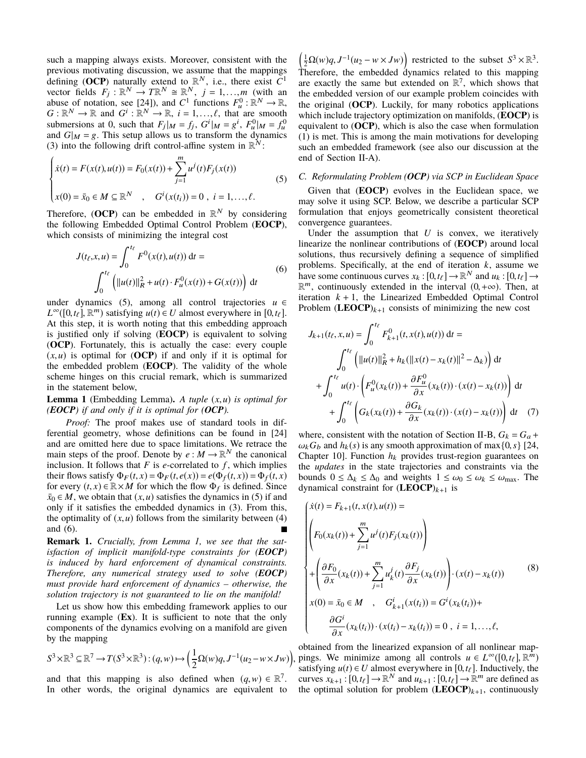such a mapping always exists. Moreover, consistent with the previous motivating discussion, we assume that the mappings defining (OCP) naturally extend to  $\mathbb{R}^N$ , i.e., there exist  $\tilde{C}^1$  vector fields  $F_j : \mathbb{R}^N \to T\mathbb{R}^N \cong \mathbb{R}^N$ ,  $j = 1,...,m$  (with an abuse of notation, see [24]), and  $C^1$  functions  $F_u^0 : \mathbb{R}^N \to \mathbb{R}$ ,<br>  $G : \mathbb{R}^N \to \mathbb{R}$  and  $G^i : \mathbb{R}^N \to \mathbb{R}$ ,  $i = 1, ..., \ell$ , that are smooth submersions at 0, such that  $F_j|_M = f_j$ ,  $G^i|_M = g^i$ ,  $F_u^0|_M = f_u^0$ and  $G|_M = g$ . This setup allows us to transform the dynamics (3) into the following drift control-affine system in  $\mathbb{R}^N$ :

$$
\begin{cases}\n\dot{x}(t) = F(x(t), u(t)) = F_0(x(t)) + \sum_{j=1}^{m} u^j(t) F_j(x(t)) \\
x(0) = \bar{x}_0 \in M \subseteq \mathbb{R}^N, \quad G^i(x(t_i)) = 0, \ i = 1, ..., \ell.\n\end{cases}
$$
\n(5)

Therefore, (OCP) can be embedded in  $\mathbb{R}^N$  by considering the following Embedded Optimal Control Problem (**EOCP**), which consists of minimizing the integral cost

$$
J(t_{\ell}, x, u) = \int_0^{t_{\ell}} F^0(x(t), u(t)) dt =
$$
  

$$
\int_0^{t_{\ell}} \left( ||u(t)||_R^2 + u(t) \cdot F_u^0(x(t)) + G(x(t)) \right) dt
$$
 (6)

under dynamics (5), among all control trajectories  $u \in$  $L^{\infty}([0,t_{\ell}], \mathbb{R}^m)$  satisfying  $u(t) \in U$  almost everywhere in [0,t<sub>e</sub>]. At this step, it is worth noting that this embedding approach is justified only if solving (EOCP) is equivalent to solving **(OCP).** Fortunately, this is actually the case: every couple  $(x, u)$  is optimal for (OCP) if and only if it is optimal for the embedded problem (**EOCP**). The validity of the whole scheme hinges on this crucial remark, which is summarized in the statement below,

**Lemma 1** (Embedding Lemma). A tuple  $(x, u)$  is optimal for (EOCP) if and only if it is optimal for  $(OCP)$ .

Proof: The proof makes use of standard tools in differential geometry, whose definitions can be found in [24] and are omitted here due to space limitations. We retrace the main steps of the proof. Denote by  $e : M \to \mathbb{R}^N$  the canonical inclusion. It follows that  $F$  is *e*-correlated to  $f$ , which implies their flows satisfy  $\Phi_F(t, x) = \Phi_F(t, e(x)) = e(\Phi_f(t, x)) = \Phi_f(t, x)$ for every  $(t, x) \in \mathbb{R} \times M$  for which the flow  $\Phi_f$  is defined. Since  $\bar{x}_0 \in M$ , we obtain that  $(x, u)$  satisfies the dynamics in (5) if and only if it satisfies the embedded dynamics in (3). From this, the optimality of  $(x, u)$  follows from the similarity between (4) and  $(6)$ .

Remark 1. Crucially, from Lemma 1, we see that the satisfaction of implicit manifold-type constraints for  $(EOCP)$ is induced by hard enforcement of dynamical constraints. Therefore, any numerical strategy used to solve (**EOCP**) must provide hard enforcement of dynamics - otherwise, the solution trajectory is not guaranteed to lie on the manifold!

Let us show how this embedding framework applies to our running example  $(Ex)$ . It is sufficient to note that the only components of the dynamics evolving on a manifold are given by the mapping

$$
S^3 \times \mathbb{R}^3 \subseteq \mathbb{R}^7 \to T(S^3 \times \mathbb{R}^3) : (q, w) \mapsto \left(\frac{1}{2}\Omega(w)q, J^{-1}(u_2 - w \times Jw)\right)
$$

and that this mapping is also defined when  $(q, w) \in \mathbb{R}^7$ . In other words, the original dynamics are equivalent to

 $\left(\frac{1}{2}\Omega(w)q, J^{-1}(u_2 - w \times Jw)\right)$  restricted to the subset  $S^3 \times \mathbb{R}^3$ . Therefore, the embedded dynamics related to this mapping are exactly the same but extended on  $\mathbb{R}^7$ , which shows that the embedded version of our example problem coincides with the original (OCP). Luckily, for many robotics applications which include trajectory optimization on manifolds, (EOCP) is equivalent to  $(OCP)$ , which is also the case when formulation (1) is met. This is among the main motivations for developing such an embedded framework (see also our discussion at the end of Section II-A).

## C. Reformulating Problem  $(OCP)$  via SCP in Euclidean Space

Given that (**EOCP**) evolves in the Euclidean space, we may solve it using SCP. Below, we describe a particular SCP formulation that enjoys geometrically consistent theoretical convergence guarantees.

Under the assumption that  $U$  is convex, we iteratively linearize the nonlinear contributions of (**EOCP**) around local solutions, thus recursively defining a sequence of simplified problems. Specifically, at the end of iteration  $k$ , assume we have some continuous curves  $x_k : [0, t_\ell] \to \mathbb{R}^N$  and  $u_k : [0, t_\ell] \to$  $\mathbb{R}^m$ , continuously extended in the interval  $(0, +\infty)$ . Then, at iteration  $k + 1$ , the Linearized Embedded Optimal Control Problem  $(\mathbf{LEOCP})_{k+1}$  consists of minimizing the new cost

$$
J_{k+1}(t_{\ell}, x, u) = \int_{0}^{t_{\ell}} F_{k+1}^{0}(t, x(t), u(t)) dt =
$$
  

$$
\int_{0}^{t_{\ell}} \left( ||u(t)||_{R}^{2} + h_{k}(||x(t) - x_{k}(t)||^{2} - \Delta_{k}) \right) dt
$$
  

$$
+ \int_{0}^{t_{\ell}} u(t) \cdot \left( F_{u}^{0}(x_{k}(t)) + \frac{\partial F_{u}^{0}}{\partial x}(x_{k}(t)) \cdot (x(t) - x_{k}(t)) \right) dt
$$
  

$$
+ \int_{0}^{t_{\ell}} \left( G_{k}(x_{k}(t)) + \frac{\partial G_{k}}{\partial x}(x_{k}(t)) \cdot (x(t) - x_{k}(t)) \right) dt
$$
 (7)

where, consistent with the notation of Section II-B,  $G_k = G_a +$  $\omega_k G_b$  and  $h_k(s)$  is any smooth approximation of max $\{0, s\}$  [24, Chapter 10]. Function  $h_k$  provides trust-region guarantees on the *updates* in the state trajectories and constraints via the bounds  $0 \leq \Delta_k \leq \Delta_0$  and weights  $1 \leq \omega_0 \leq \omega_k \leq \omega_{\text{max}}$ . The dynamical constraint for  $(\text{LEOCP})_{k+1}$  is

$$
\begin{cases}\n\dot{x}(t) = F_{k+1}(t, x(t), u(t)) = \\
\left( F_0(x_k(t)) + \sum_{j=1}^m u^j(t) F_j(x_k(t)) \right) \\
+ \left( \frac{\partial F_0}{\partial x}(x_k(t)) + \sum_{j=1}^m u^j_k(t) \frac{\partial F_j}{\partial x}(x_k(t)) \right) \cdot (x(t) - x_k(t)) \\
x(0) = \bar{x}_0 \in M \quad , \quad G^i_{k+1}(x(t_i)) = G^i(x_k(t_i)) + \\
\frac{\partial G^i}{\partial x}(x_k(t_i)) \cdot (x(t_i) - x_k(t_i)) = 0 \quad , \quad i = 1, \dots, \ell,\n\end{cases}
$$
\n(8)

obtained from the linearized expansion of all nonlinear mappings. We minimize among all controls  $u \in L^{\infty}([0,t_{\ell}], \mathbb{R}^m)$ satisfying  $u(t) \in U$  almost everywhere in [0,  $t_{\ell}$ ]. Inductively, the curves  $x_{k+1} : [0, t_{\ell}] \to \mathbb{R}^N$  and  $u_{k+1} : [0, t_{\ell}] \to \mathbb{R}^m$  are defined as the optimal solution for problem  $(\mathbf{LEOCP})_{k+1}$ , continuously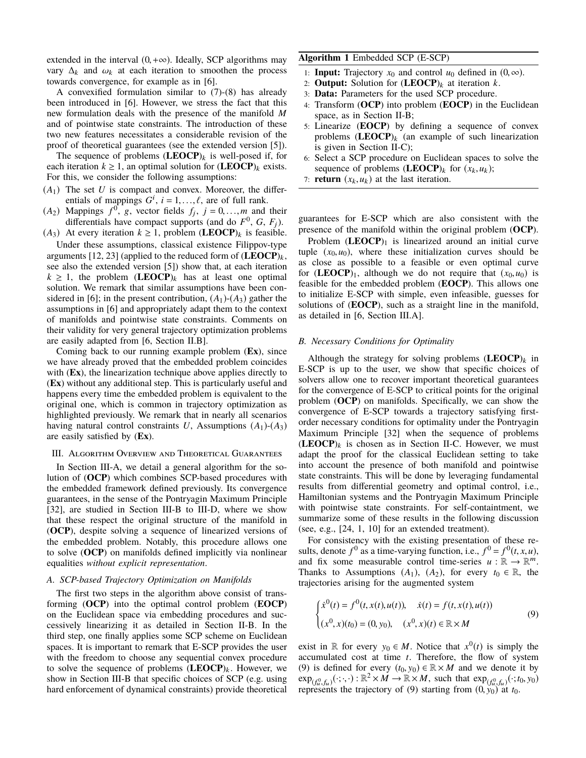extended in the interval  $(0, +\infty)$ . Ideally, SCP algorithms may vary  $\Delta_k$  and  $\omega_k$  at each iteration to smoothen the process towards convergence, for example as in [6].

A convexified formulation similar to  $(7)-(8)$  has already been introduced in [6]. However, we stress the fact that this new formulation deals with the presence of the manifold M and of pointwise state constraints. The introduction of these two new features necessitates a considerable revision of the proof of theoretical guarantees (see the extended version [5]).

The sequence of problems  $(\mathbf{LEOCP})_k$  is well-posed if, for each iteration  $k \ge 1$ , an optimal solution for  $(\mathbf{LEOCP})_k$  exists. For this, we consider the following assumptions:

- $(A_1)$  The set U is compact and convex. Moreover, the differentials of mappings  $G^i$ ,  $i = 1, ..., \ell$ , are of full rank.
- $(A_2)$  Mappings  $f^0$ , g, vector fields  $f_j$ ,  $j = 0,...,m$  and their differentials have compact supports (and do  $F^0$ , G,  $F_i$ ).
- $(A_3)$  At every iteration  $k \ge 1$ , problem (**LEOCP**)<sub>k</sub> is feasible. Under these assumptions, classical existence Filippov-type

arguments [12, 23] (applied to the reduced form of  $(\mathbf{LEOCP})_k$ , see also the extended version [5]) show that, at each iteration  $k \geq 1$ , the problem (LEOCP)<sub>k</sub> has at least one optimal solution. We remark that similar assumptions have been considered in [6]; in the present contribution,  $(A_1)$ - $(A_3)$  gather the assumptions in [6] and appropriately adapt them to the context of manifolds and pointwise state constraints. Comments on their validity for very general trajectory optimization problems are easily adapted from [6, Section II.B].

Coming back to our running example problem (Ex), since we have already proved that the embedded problem coincides with  $(Ex)$ , the linearization technique above applies directly to (Ex) without any additional step. This is particularly useful and happens every time the embedded problem is equivalent to the original one, which is common in trajectory optimization as highlighted previously. We remark that in nearly all scenarios having natural control constraints U, Assumptions  $(A_1)$ - $(A_3)$ are easily satisfied by  $(Ex)$ .

## III. ALGORITHM OVERVIEW AND THEORETICAL GUARANTEES

In Section III-A, we detail a general algorithm for the solution of (OCP) which combines SCP-based procedures with the embedded framework defined previously. Its convergence guarantees, in the sense of the Pontryagin Maximum Principle [32], are studied in Section III-B to III-D, where we show that these respect the original structure of the manifold in (OCP), despite solving a sequence of linearized versions of the embedded problem. Notably, this procedure allows one to solve  $(OCP)$  on manifolds defined implicitly via nonlinear equalities without explicit representation.

#### A. SCP-based Trajectory Optimization on Manifolds

The first two steps in the algorithm above consist of transforming (OCP) into the optimal control problem (EOCP) on the Euclidean space via embedding procedures and successively linearizing it as detailed in Section II-B. In the third step, one finally applies some SCP scheme on Euclidean spaces. It is important to remark that E-SCP provides the user with the freedom to choose any sequential convex procedure to solve the sequence of problems  $(LEOCP)_k$ . However, we show in Section III-B that specific choices of SCP (e.g. using hard enforcement of dynamical constraints) provide theoretical

# Algorithm 1 Embedded SCP (E-SCP)

- 1: **Input:** Trajectory  $x_0$  and control  $u_0$  defined in  $(0, \infty)$ .
- 2: **Output:** Solution for  $(\mathbf{LEOCP})_k$  at iteration k.
- 3: Data: Parameters for the used SCP procedure.
- 4: Transform (OCP) into problem (EOCP) in the Euclidean space, as in Section II-B;
- 5: Linearize (**EOCP**) by defining a sequence of convex problems  $(\text{LEOCP})_k$  (an example of such linearization is given in Section II-C);
- 6: Select a SCP procedure on Euclidean spaces to solve the sequence of problems  $(\text{LEOCP})_k$  for  $(x_k, u_k)$ ;
- 7: **return**  $(x_k, u_k)$  at the last iteration.

guarantees for E-SCP which are also consistent with the presence of the manifold within the original problem (OCP).

Problem  $(LEOCP)<sub>1</sub>$  is linearized around an initial curve tuple  $(x_0, u_0)$ , where these initialization curves should be as close as possible to a feasible or even optimal curve for  $(LEOCP)_1$ , although we do not require that  $(x_0, u_0)$  is feasible for the embedded problem (EOCP). This allows one to initialize E-SCP with simple, even infeasible, guesses for solutions of (**EOCP**), such as a straight line in the manifold, as detailed in [6, Section III.A].

## B. Necessary Conditions for Optimality

Although the strategy for solving problems  $(\text{LEOCP})_k$  in E-SCP is up to the user, we show that specific choices of solvers allow one to recover important theoretical guarantees for the convergence of E-SCP to critical points for the original problem  $(OCP)$  on manifolds. Specifically, we can show the convergence of E-SCP towards a trajectory satisfying firstorder necessary conditions for optimality under the Pontryagin Maximum Principle [32] when the sequence of problems  $(LEOCP)<sub>k</sub>$  is chosen as in Section II-C. However, we must adapt the proof for the classical Euclidean setting to take into account the presence of both manifold and pointwise state constraints. This will be done by leveraging fundamental results from differential geometry and optimal control, i.e., Hamiltonian systems and the Pontryagin Maximum Principle with pointwise state constraints. For self-containtment, we summarize some of these results in the following discussion (see, e.g.,  $[24, 1, 10]$  for an extended treatment).

For consistency with the existing presentation of these results, denote  $f^0$  as a time-varying function, i.e.,  $f^0 = f^0(t, x, u)$ , and fix some measurable control time-series  $u : \mathbb{R} \to \mathbb{R}^m$ . Thanks to Assumptions  $(A_1)$ ,  $(A_2)$ , for every  $t_0 \in \mathbb{R}$ , the trajectories arising for the augmented system

$$
\begin{cases} \dot{x}^0(t) = f^0(t, x(t), u(t)), & \dot{x}(t) = f(t, x(t), u(t)) \\ (x^0, x)(t_0) = (0, y_0), & (x^0, x)(t) \in \mathbb{R} \times M \end{cases}
$$
(9)

exist in R for every  $y_0 \in M$ . Notice that  $x^0(t)$  is simply the accumulated cost at time  $t$ . Therefore, the flow of system (9) is defined for every  $(t_0, y_0) \in \mathbb{R} \times M$  and we denote it by  $\exp_{(f_v^0, f_v)}(\cdot;\cdot,\cdot): \mathbb{R}^2 \times M \to \mathbb{R} \times M$ , such that  $\exp_{(f_v^0, f_v)}(\cdot; t_0, y_0)$ represents the trajectory of (9) starting from  $(0, y_0)$  at  $t_0$ .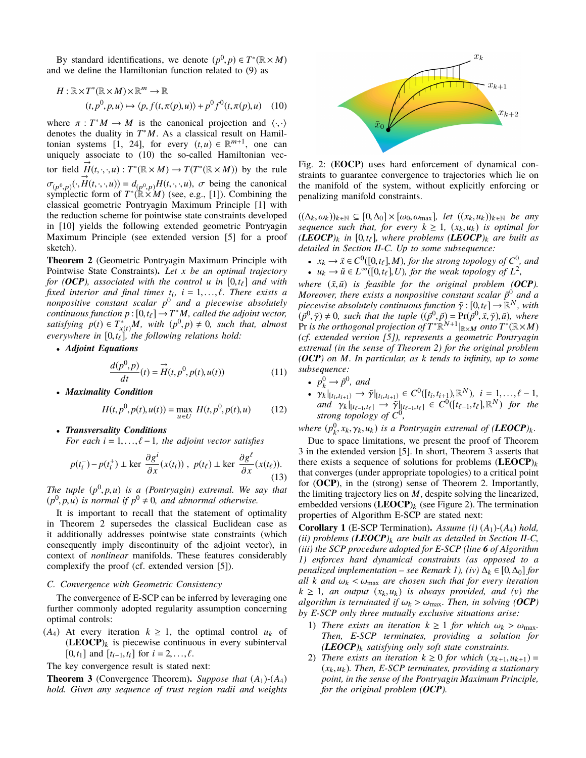By standard identifications, we denote  $(p^0, p) \in T^*(\mathbb{R} \times M)$ and we define the Hamiltonian function related to (9) as

$$
H: \mathbb{R} \times T^*(\mathbb{R} \times M) \times \mathbb{R}^m \to \mathbb{R}
$$
  

$$
(t, p^0, p, u) \mapsto \langle p, f(t, \pi(p), u) \rangle + p^0 f^0(t, \pi(p), u) \quad (10)
$$

where  $\pi : T^*M \to M$  is the canonical projection and  $\langle \cdot, \cdot \rangle$ denotes the duality in  $T^*M$ . As a classical result on Hamiltonian systems [1, 24], for every  $(t, u) \in \mathbb{R}^{m+1}$ , one can uniquely associate to (10) the so-called Hamiltonian vector field  $H(t,\cdot,\cdot,u): T^*(\mathbb{R}\times M) \to T(T^*(\mathbb{R}\times M))$  by the rule  $\sigma_{(p^0, p)}(\cdot, H(t, \cdot, \cdot, u)) = d_{(p^0, p)}H(t, \cdot, \cdot, u)$ ,  $\sigma$  being the canonical symplectic form of  $T^*(\mathbb{R} \times M)$  (see, e.g., [1]). Combining the classical geometric Pontryagin Maximum Principle [1] with the reduction scheme for pointwise state constraints developed in [10] yields the following extended geometric Pontryagin Maximum Principle (see extended version [5] for a proof sketch).

**Theorem 2** (Geometric Pontryagin Maximum Principle with Pointwise State Constraints). Let  $x$  be an optimal trajectory for (OCP), associated with the control u in  $[0,t_{\ell}]$  and with fixed interior and final times  $t_i$ ,  $i = 1,..., \ell$ . There exists a nonpositive constant scalar  $p^0$  and a piecewise absolutely<br>continuous function  $p: [0, t_\ell] \to T^*M$ , called the adjoint vector, satisfying  $p(t) \in T^*_{x(t)}M$ , with  $(p^0, p) \neq 0$ , such that, almost everywhere in  $[0,t_{\ell}]$ , the following relations hold:

• Adjoint Equations

$$
\frac{d(p^{0}, p)}{dt}(t) = \vec{H}(t, p^{0}, p(t), u(t))
$$
\n(11)

• Maximality Condition

$$
H(t, p^{0}, p(t), u(t)) = \max_{u \in U} H(t, p^{0}, p(t), u)
$$
 (12)

• Transversality Conditions

For each  $i = 1, ..., \ell - 1$ , the adjoint vector satisfies

$$
p(t_i^-) - p(t_i^+) \perp \ker \frac{\partial g^i}{\partial x}(x(t_i)), \ p(t_\ell) \perp \ker \frac{\partial g^\ell}{\partial x}(x(t_\ell)).
$$
\n(13)

The tuple  $(p^0, p, u)$  is a (Pontryagin) extremal. We say that  $(p^0, p, u)$  is normal if  $p^0 \neq 0$ , and abnormal otherwise.

It is important to recall that the statement of optimality in Theorem 2 supersedes the classical Euclidean case as it additionally addresses pointwise state constraints (which consequently imply discontinuity of the adjoint vector), in context of *nonlinear* manifolds. These features considerably complexify the proof (cf. extended version [5]).

## C. Convergence with Geometric Consistency

The convergence of E-SCP can be inferred by leveraging one further commonly adopted regularity assumption concerning optimal controls:

 $(A_4)$  At every iteration  $k \ge 1$ , the optimal control  $u_k$  of  $(\mathbf{LEOCP})_k$  is piecewise continuous in every subinterval  $[0, t_1]$  and  $[t_{i-1}, t_i]$  for  $i = 2, ..., \ell$ .

The key convergence result is stated next:

**Theorem 3** (Convergence Theorem). Suppose that  $(A_1)$ - $(A_4)$ hold. Given any sequence of trust region radii and weights



Fig. 2: (**EOCP**) uses hard enforcement of dynamical constraints to guarantee convergence to trajectories which lie on the manifold of the system, without explicitly enforcing or penalizing manifold constraints.

 $((\Delta_k, \omega_k))_{k \in \mathbb{N}} \subseteq [0, \Delta_0] \times [\omega_0, \omega_{\text{max}}],$  let  $((x_k, u_k))_{k \in \mathbb{N}}$  be any sequence such that, for every  $k \ge 1$ ,  $(x_k, u_k)$  is optimal for  $(LEOCP)_k$  in [0,t<sub>e</sub>], where problems  $(LEOCP)_k$  are built as detailed in Section II-C. Up to some subsequence:

•  $x_k \to \tilde{x} \in C^0([0,t_\ell],M)$ , for the strong topology of  $C^0$ , and •  $u_k \to \tilde{u} \in L^{\infty}([0,t_{\ell}],U)$ , for the weak topology of  $L^2$ ,

where  $(\tilde{x}, \tilde{u})$  is feasible for the original problem (OCP). Moreover, there exists a nonpositive constant scalar  $\tilde{p}^0$  and a piecewise absolutely continuous function  $\tilde{\gamma}$ :  $[0, t_{\ell}] \to \mathbb{R}^{N}$ , with  $(\tilde{p}^{0}, \tilde{\gamma}) \neq 0$ , such that the tuple  $((\tilde{p}^{0}, \tilde{p}) = \Pr(\tilde{p}^{0}, \tilde{x}, \tilde{\gamma}), \tilde{u})$ , where Pr is the orthogonal projection of  $T^*\mathbb{R$ (cf. extended version [5]), represents a geometric Pontryagin extremal (in the sense of Theorem 2) for the original problem (OCP) on M. In particular, as  $k$  tends to infinity, up to some subsequence:

- 
- $p_k^0 \rightarrow \tilde{p}^0$ , and<br>
  $\gamma_k|_{[t_i, t_{i+1})} \rightarrow \tilde{\gamma}|_{[t_i, t_{i+1})} \in C^0([t_i, t_{i+1}), \mathbb{R}^N)$ ,  $i = 1, ..., \ell 1$ ,<br>
and  $\gamma_k|_{[t_{\ell-1}, t_{\ell}]} \rightarrow \tilde{\gamma}|_{[t_{\ell-1}, t_{\ell}]} \in C^0([t_{\ell-1}, t_{\ell}], \mathbb{R}^N)$  for the<br>
strong topology of  $C^0$ ,

where  $(p_k^0, x_k, \gamma_k, u_k)$  is a Pontryagin extremal of  $(\text{LEOCP})_k$ .

Due to space limitations, we present the proof of Theorem 3 in the extended version [5]. In short, Theorem 3 asserts that there exists a sequence of solutions for problems  $(LEOCP)_k$ that converges (under appropriate topologies) to a critical point for  $(OCP)$ , in the (strong) sense of Theorem 2. Importantly, the limiting trajectory lies on  $M$ , despite solving the linearized, embedded versions  $(\mathbf{LEOCP})_k$  (see Figure 2). The termination properties of Algorithm E-SCP are stated next:

**Corollary 1** (E-SCP Termination). Assume (i)  $(A_1)$ - $(A_4)$  hold, (ii) problems (LEOCP)<sub>k</sub> are built as detailed in Section II-C, (iii) the SCP procedure adopted for E-SCP (line 6 of Algorithm 1) enforces hard dynamical constraints (as opposed to a penalized implementation – see Remark 1), (iv)  $\Delta_k \in [0, \Delta_0]$  for all k and  $\omega_k < \omega_{\text{max}}$  are chosen such that for every iteration  $k \geq 1$ , an output  $(x_k, u_k)$  is always provided, and (v) the algorithm is terminated if  $\omega_k > \omega_{\text{max}}$ . Then, in solving (OCP) by E-SCP only three mutually exclusive situations arise:

- 1) There exists an iteration  $k \ge 1$  for which  $\omega_k > \omega_{\text{max}}$ . Then, E-SCP terminates, providing a solution for  $(LEOCP)_k$  satisfying only soft state constraints.
- 2) There exists an iteration  $k \ge 0$  for which  $(x_{k+1}, u_{k+1}) =$  $(x_k, u_k)$ . Then, E-SCP terminates, providing a stationary point, in the sense of the Pontryagin Maximum Principle, for the original problem  $(OCP)$ .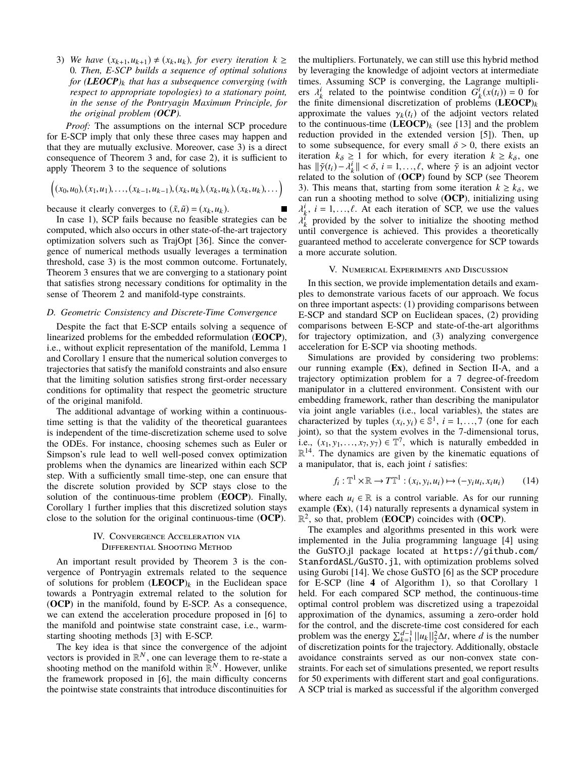3) We have  $(x_{k+1}, u_{k+1}) \neq (x_k, u_k)$ , for every iteration  $k \geq$ 0. Then, E-SCP builds a sequence of optimal solutions for  $(LEOCP)_{k}$  that has a subsequence converging (with respect to appropriate topologies) to a stationary point, in the sense of the Pontryagin Maximum Principle, for the original problem  $(OCP)$ .

*Proof:* The assumptions on the internal SCP procedure for E-SCP imply that only these three cases may happen and that they are mutually exclusive. Moreover, case 3) is a direct consequence of Theorem 3 and, for case 2), it is sufficient to apply Theorem 3 to the sequence of solutions

$$
((x_0,u_0),(x_1,u_1),\ldots,(x_{k-1},u_{k-1}),(x_k,u_k),(x_k,u_k),(x_k,u_k),\ldots)
$$

because it clearly converges to  $(\tilde{x}, \tilde{u}) = (x_k, u_k)$ .

In case 1), SCP fails because no feasible strategies can be computed, which also occurs in other state-of-the-art trajectory optimization solvers such as TrajOpt [36]. Since the convergence of numerical methods usually leverages a termination threshold, case 3) is the most common outcome. Fortunately, Theorem 3 ensures that we are converging to a stationary point that satisfies strong necessary conditions for optimality in the sense of Theorem 2 and manifold-type constraints.

#### D. Geometric Consistency and Discrete-Time Convergence

Despite the fact that E-SCP entails solving a sequence of linearized problems for the embedded reformulation (EOCP), i.e., without explicit representation of the manifold, Lemma 1 and Corollary 1 ensure that the numerical solution converges to trajectories that satisfy the manifold constraints and also ensure that the limiting solution satisfies strong first-order necessary conditions for optimality that respect the geometric structure of the original manifold.

The additional advantage of working within a continuoustime setting is that the validity of the theoretical guarantees is independent of the time-discretization scheme used to solve the ODEs. For instance, choosing schemes such as Euler or Simpson's rule lead to well well-posed convex optimization problems when the dynamics are linearized within each SCP step. With a sufficiently small time-step, one can ensure that the discrete solution provided by SCP stays close to the solution of the continuous-time problem (**EOCP**). Finally, Corollary 1 further implies that this discretized solution stays close to the solution for the original continuous-time  $(OCP)$ .

## IV. CONVERGENCE ACCELERATION VIA **DIFFERENTIAL SHOOTING METHOD**

An important result provided by Theorem 3 is the convergence of Pontryagin extremals related to the sequence of solutions for problem  $(LEOCP)_k$  in the Euclidean space towards a Pontryagin extremal related to the solution for (OCP) in the manifold, found by E-SCP. As a consequence, we can extend the acceleration procedure proposed in [6] to the manifold and pointwise state constraint case, *i.e.*, warmstarting shooting methods [3] with E-SCP.

The key idea is that since the convergence of the adjoint vectors is provided in  $\mathbb{R}^N$ , one can leverage them to re-state a shooting method on the manifold within  $\mathbb{R}^N$ . However, unlike the framework proposed in [6], the main difficulty concerns the pointwise state constraints that introduce discontinuities for the multipliers. Fortunately, we can still use this hybrid method by leveraging the knowledge of adjoint vectors at intermediate times. Assuming SCP is converging, the Lagrange multipliers  $\lambda_k^i$  related to the pointwise condition  $G_k^i(x(t_i)) = 0$  for the finite dimensional discretization of problems  $(LEOCP)_{k}$ approximate the values  $\gamma_k(t_i)$  of the adjoint vectors related to the continuous-time  $(\text{LEOCP})_k$  (see [13] and the problem reduction provided in the extended version [5]). Then, up to some subsequence, for every small  $\delta > 0$ , there exists an iteration  $k_{\delta} \ge 1$  for which, for every iteration  $k \ge k_{\delta}$ , one has  $\|\tilde{\gamma}(t_i) - \lambda_k^i\| < \delta, i = 1, ..., \ell$ , where  $\tilde{\gamma}$  is an adjoint vector related to the solution of (OCP) found by SCP (see Theorem 3). This means that, starting from some iteration  $k \ge k_{\delta}$ , we can run a shooting method to solve (OCP), initializing using  $\lambda_i^i$ ,  $i = 1, ..., \ell$ . At each iteration of SCP, we use the values  $\lambda_k^i$  provided by the solver to initialize the shooting method until convergence is achieved. This provides a theoretically guaranteed method to accelerate convergence for SCP towards a more accurate solution.

#### V. NUMERICAL EXPERIMENTS AND DISCUSSION

In this section, we provide implementation details and examples to demonstrate various facets of our approach. We focus on three important aspects: (1) providing comparisons between E-SCP and standard SCP on Euclidean spaces, (2) providing comparisons between E-SCP and state-of-the-art algorithms for trajectory optimization, and (3) analyzing convergence acceleration for E-SCP via shooting methods.

Simulations are provided by considering two problems: our running example (Ex), defined in Section II-A, and a trajectory optimization problem for a 7 degree-of-freedom manipulator in a cluttered environment. Consistent with our embedding framework, rather than describing the manipulator via joint angle variables (i.e., local variables), the states are characterized by tuples  $(x_i, y_i) \in \mathbb{S}^1$ ,  $i = 1, ..., 7$  (one for each joint), so that the system evolves in the 7-dimensional torus, i.e.,  $(x_1, y_1, \ldots, x_7, y_7) \in \mathbb{T}^7$ , which is naturally embedded in  $\mathbb{R}^{14}$ . The dynamics are given by the kinematic equations of a manipulator, that is, each joint  $i$  satisfies:

$$
f_i: \mathbb{T}^1 \times \mathbb{R} \to T\mathbb{T}^1: (x_i, y_i, u_i) \mapsto (-y_i u_i, x_i u_i) \tag{14}
$$

where each  $u_i \in \mathbb{R}$  is a control variable. As for our running example (Ex), (14) naturally represents a dynamical system in  $\mathbb{R}^2$ , so that, problem (**EOCP**) coincides with (**OCP**).

The examples and algorithms presented in this work were implemented in the Julia programming language [4] using the GuSTO.jl package located at https://github.com/ StanfordASL/GuSTO.jl, with optimization problems solved using Gurobi [14]. We chose GuSTO [6] as the SCP procedure for E-SCP (line 4 of Algorithm 1), so that Corollary 1 held. For each compared SCP method, the continuous-time optimal control problem was discretized using a trapezoidal approximation of the dynamics, assuming a zero-order hold for the control, and the discrete-time cost considered for each problem was the energy  $\sum_{k=1}^{d-1} ||u_k||_2^2 \Delta t$ , where d is the number of discretization points for the trajectory. Additionally, obstacle avoidance constraints served as our non-convex state constraints. For each set of simulations presented, we report results for 50 experiments with different start and goal configurations. A SCP trial is marked as successful if the algorithm converged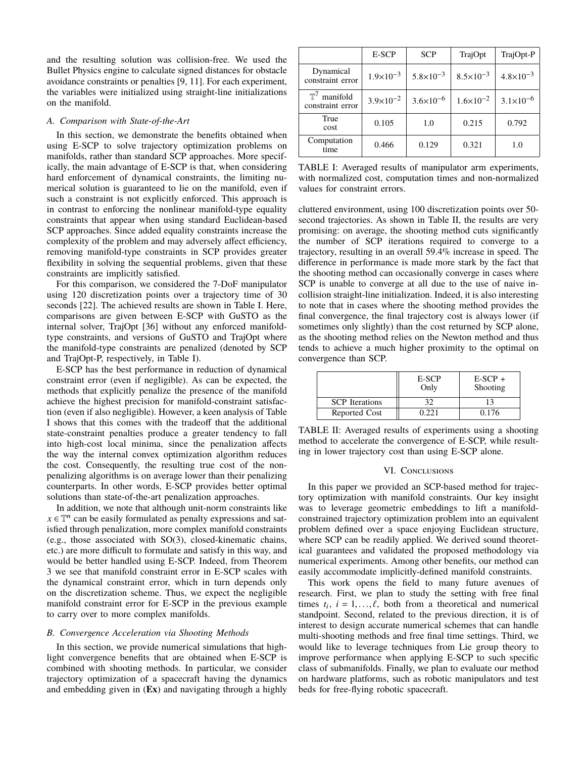and the resulting solution was collision-free. We used the Bullet Physics engine to calculate signed distances for obstacle avoidance constraints or penalties [9, 11]. For each experiment, the variables were initialized using straight-line initializations on the manifold.

## A. Comparison with State-of-the-Art

In this section, we demonstrate the benefits obtained when using E-SCP to solve trajectory optimization problems on manifolds, rather than standard SCP approaches. More specifically, the main advantage of E-SCP is that, when considering hard enforcement of dynamical constraints, the limiting numerical solution is guaranteed to lie on the manifold, even if such a constraint is not explicitly enforced. This approach is in contrast to enforcing the nonlinear manifold-type equality constraints that appear when using standard Euclidean-based SCP approaches. Since added equality constraints increase the complexity of the problem and may adversely affect efficiency, removing manifold-type constraints in SCP provides greater flexibility in solving the sequential problems, given that these constraints are implicitly satisfied.

For this comparison, we considered the 7-DoF manipulator using 120 discretization points over a trajectory time of 30 seconds [22]. The achieved results are shown in Table I. Here, comparisons are given between E-SCP with GuSTO as the internal solver, TrajOpt [36] without any enforced manifoldtype constraints, and versions of GuSTO and TrajOpt where the manifold-type constraints are penalized (denoted by SCP and TrajOpt-P, respectively, in Table I).

E-SCP has the best performance in reduction of dynamical constraint error (even if negligible). As can be expected, the methods that explicitly penalize the presence of the manifold achieve the highest precision for manifold-constraint satisfaction (even if also negligible). However, a keen analysis of Table I shows that this comes with the tradeoff that the additional state-constraint penalties produce a greater tendency to fall into high-cost local minima, since the penalization affects the way the internal convex optimization algorithm reduces the cost. Consequently, the resulting true cost of the nonpenalizing algorithms is on average lower than their penalizing counterparts. In other words, E-SCP provides better optimal solutions than state-of-the-art penalization approaches.

In addition, we note that although unit-norm constraints like  $x \in \mathbb{T}^n$  can be easily formulated as penalty expressions and satisfied through penalization, more complex manifold constraints (e.g., those associated with  $SO(3)$ , closed-kinematic chains, etc.) are more difficult to formulate and satisfy in this way, and would be better handled using E-SCP. Indeed, from Theorem 3 we see that manifold constraint error in E-SCP scales with the dynamical constraint error, which in turn depends only on the discretization scheme. Thus, we expect the negligible manifold constraint error for E-SCP in the previous example to carry over to more complex manifolds.

#### **B.** Convergence Acceleration via Shooting Methods

In this section, we provide numerical simulations that highlight convergence benefits that are obtained when E-SCP is combined with shooting methods. In particular, we consider trajectory optimization of a spacecraft having the dynamics and embedding given in  $(Ex)$  and navigating through a highly

|                                             | E-SCP                | <b>SCP</b>           | TrajOpt              | TrajOpt-P            |
|---------------------------------------------|----------------------|----------------------|----------------------|----------------------|
| Dynamical<br>constraint error               | $1.9 \times 10^{-3}$ | $5.8 \times 10^{-3}$ | $8.5 \times 10^{-3}$ | $4.8 \times 10^{-3}$ |
| $\mathbb{T}^7$ manifold<br>constraint error | $3.9 \times 10^{-2}$ | $3.6 \times 10^{-6}$ | $1.6 \times 10^{-2}$ | $3.1 \times 10^{-6}$ |
| True<br>cost                                | 0.105                | 1.0                  | 0.215                | 0.792                |
| Computation<br>time                         | 0.466                | 0.129                | 0.321                | 1.0                  |

TABLE I: Averaged results of manipulator arm experiments, with normalized cost, computation times and non-normalized values for constraint errors.

cluttered environment, using 100 discretization points over 50second trajectories. As shown in Table II, the results are very promising: on average, the shooting method cuts significantly the number of SCP iterations required to converge to a trajectory, resulting in an overall  $59.4\%$  increase in speed. The difference in performance is made more stark by the fact that the shooting method can occasionally converge in cases where SCP is unable to converge at all due to the use of naive incollision straight-line initialization. Indeed, it is also interesting to note that in cases where the shooting method provides the final convergence, the final trajectory cost is always lower (if sometimes only slightly) than the cost returned by SCP alone, as the shooting method relies on the Newton method and thus tends to achieve a much higher proximity to the optimal on convergence than SCP.

|                       | E-SCP<br>Only | $E-SCP +$<br>Shooting |
|-----------------------|---------------|-----------------------|
| <b>SCP</b> Iterations | 30            |                       |
| Reported Cost         | 0 22 1        | 0.176                 |

TABLE II: Averaged results of experiments using a shooting method to accelerate the convergence of E-SCP, while resulting in lower trajectory cost than using E-SCP alone.

#### VI. CONCLUSIONS

In this paper we provided an SCP-based method for trajectory optimization with manifold constraints. Our key insight was to leverage geometric embeddings to lift a manifoldconstrained trajectory optimization problem into an equivalent problem defined over a space enjoying Euclidean structure, where SCP can be readily applied. We derived sound theoretical guarantees and validated the proposed methodology via numerical experiments. Among other benefits, our method can easily accommodate implicitly-defined manifold constraints.

This work opens the field to many future avenues of research. First, we plan to study the setting with free final times  $t_i$ ,  $i = 1, ..., \ell$ , both from a theoretical and numerical standpoint. Second, related to the previous direction, it is of interest to design accurate numerical schemes that can handle multi-shooting methods and free final time settings. Third, we would like to leverage techniques from Lie group theory to improve performance when applying E-SCP to such specific class of submanifolds. Finally, we plan to evaluate our method on hardware platforms, such as robotic manipulators and test beds for free-flying robotic spacecraft.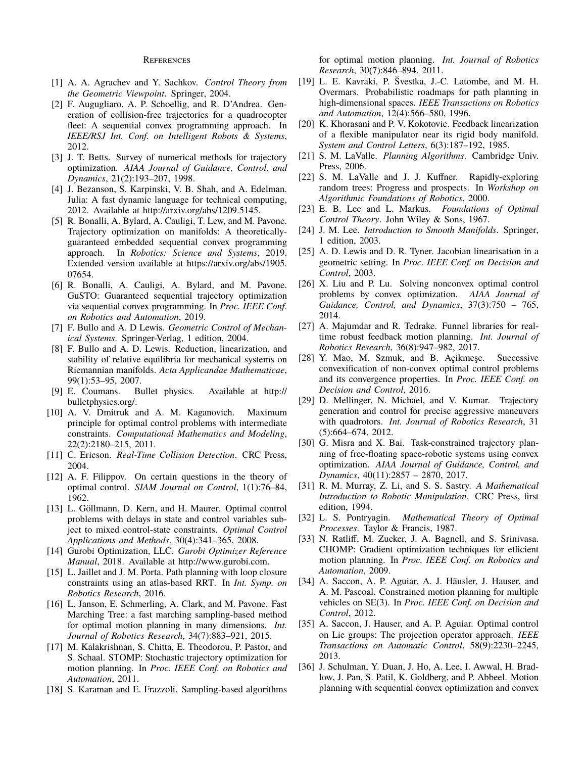#### **REFERENCES**

- [1] A. A. Agrachev and Y. Sachkov. Control Theory from the Geometric Viewpoint. Springer, 2004.
- [2] F. Augugliaro, A. P. Schoellig, and R. D'Andrea. Generation of collision-free trajectories for a quadrocopter fleet: A sequential convex programming approach. In IEEE/RSJ Int. Conf. on Intelligent Robots & Systems, 2012.
- [3] J. T. Betts. Survey of numerical methods for trajectory optimization. AIAA Journal of Guidance, Control, and Dynamics, 21(2):193-207, 1998.
- [4] J. Bezanson, S. Karpinski, V. B. Shah, and A. Edelman. Julia: A fast dynamic language for technical computing, 2012. Available at http://arxiv.org/abs/1209.5145.
- [5] R. Bonalli, A. Bylard, A. Cauligi, T. Lew, and M. Pavone. Trajectory optimization on manifolds: A theoreticallyguaranteed embedded sequential convex programming approach. In Robotics: Science and Systems, 2019. Extended version available at https://arxiv.org/abs/1905. 07654.
- [6] R. Bonalli, A. Cauligi, A. Bylard, and M. Pavone. GuSTO: Guaranteed sequential trajectory optimization via sequential convex programming. In *Proc. IEEE Conf.* on Robotics and Automation, 2019.
- [7] F. Bullo and A. D Lewis. Geometric Control of Mechan*ical Systems.* Springer-Verlag, 1 edition, 2004.
- [8] F. Bullo and A. D. Lewis. Reduction, linearization, and stability of relative equilibria for mechanical systems on Riemannian manifolds. Acta Applicandae Mathematicae,  $99(1):53-95, 2007.$
- [9] E. Coumans. Bullet physics. Available at http:// bulletphysics.org/.
- [10] A. V. Dmitruk and A. M. Kaganovich. Maximum principle for optimal control problems with intermediate constraints. Computational Mathematics and Modeling,  $22(2):2180-215, 2011.$
- [11] C. Ericson. Real-Time Collision Detection. CRC Press, 2004.
- [12] A. F. Filippov. On certain questions in the theory of optimal control. SIAM Journal on Control, 1(1):76–84, 1962.
- [13] L. Göllmann, D. Kern, and H. Maurer. Optimal control problems with delays in state and control variables subject to mixed control-state constraints. Optimal Control Applications and Methods, 30(4):341–365, 2008.
- [14] Gurobi Optimization, LLC. Gurobi Optimizer Reference Manual, 2018. Available at http://www.gurobi.com.
- [15] L. Jaillet and J. M. Porta. Path planning with loop closure constraints using an atlas-based RRT. In Int. Symp. on Robotics Research, 2016.
- [16] L. Janson, E. Schmerling, A. Clark, and M. Pavone. Fast Marching Tree: a fast marching sampling-based method for optimal motion planning in many dimensions. Int. Journal of Robotics Research, 34(7):883-921, 2015.
- [17] M. Kalakrishnan, S. Chitta, E. Theodorou, P. Pastor, and S. Schaal. STOMP: Stochastic trajectory optimization for motion planning. In Proc. IEEE Conf. on Robotics and Automation, 2011.
- [18] S. Karaman and E. Frazzoli. Sampling-based algorithms

for optimal motion planning. Int. Journal of Robotics Research, 30(7):846-894, 2011.

- [19] L. E. Kavraki, P. Švestka, J.-C. Latombe, and M. H. Overmars. Probabilistic roadmaps for path planning in high-dimensional spaces. IEEE Transactions on Robotics and Automation, 12(4):566-580, 1996.
- [20] K. Khorasani and P. V. Kokotovic. Feedback linearization of a flexible manipulator near its rigid body manifold. System and Control Letters, 6(3):187–192, 1985.
- [21] S. M. LaValle. Planning Algorithms. Cambridge Univ. Press, 2006.
- [22] S. M. LaValle and J. J. Kuffner. Rapidly-exploring random trees: Progress and prospects. In Workshop on Algorithmic Foundations of Robotics, 2000.
- [23] E. B. Lee and L. Markus. Foundations of Optimal Control Theory. John Wiley & Sons, 1967.
- [24] J. M. Lee. Introduction to Smooth Manifolds. Springer, 1 edition, 2003.
- [25] A. D. Lewis and D. R. Tyner. Jacobian linearisation in a geometric setting. In Proc. IEEE Conf. on Decision and Control, 2003.
- [26] X. Liu and P. Lu. Solving nonconvex optimal control problems by convex optimization. AIAA Journal of Guidance, Control, and Dynamics, 37(3):750 - 765, 2014.
- [27] A. Majumdar and R. Tedrake. Funnel libraries for realtime robust feedback motion planning. Int. Journal of Robotics Research, 36(8):947-982, 2017.
- [28] Y. Mao, M. Szmuk, and B. Açikmeşe. Successive convexification of non-convex optimal control problems and its convergence properties. In Proc. IEEE Conf. on Decision and Control, 2016.
- [29] D. Mellinger, N. Michael, and V. Kumar. Trajectory generation and control for precise aggressive maneuvers with quadrotors. Int. Journal of Robotics Research, 31  $(5):664-674, 2012.$
- [30] G. Misra and X. Bai. Task-constrained trajectory planning of free-floating space-robotic systems using convex optimization. AIAA Journal of Guidance, Control, and Dynamics, 40(11):2857 - 2870, 2017.
- [31] R. M. Murray, Z. Li, and S. S. Sastry. A Mathematical Introduction to Robotic Manipulation. CRC Press, first edition, 1994.
- [32] L. S. Pontryagin. Mathematical Theory of Optimal Processes. Taylor & Francis, 1987.
- [33] N. Ratliff, M. Zucker, J. A. Bagnell, and S. Srinivasa. CHOMP: Gradient optimization techniques for efficient motion planning. In *Proc. IEEE Conf. on Robotics and* Automation, 2009.
- [34] A. Saccon, A. P. Aguiar, A. J. Häusler, J. Hauser, and A. M. Pascoal. Constrained motion planning for multiple vehicles on SE(3). In Proc. IEEE Conf. on Decision and Control. 2012.
- [35] A. Saccon, J. Hauser, and A. P. Aguiar. Optimal control on Lie groups: The projection operator approach. IEEE Transactions on Automatic Control, 58(9):2230-2245, 2013.
- [36] J. Schulman, Y. Duan, J. Ho, A. Lee, I. Awwal, H. Bradlow, J. Pan, S. Patil, K. Goldberg, and P. Abbeel. Motion planning with sequential convex optimization and convex